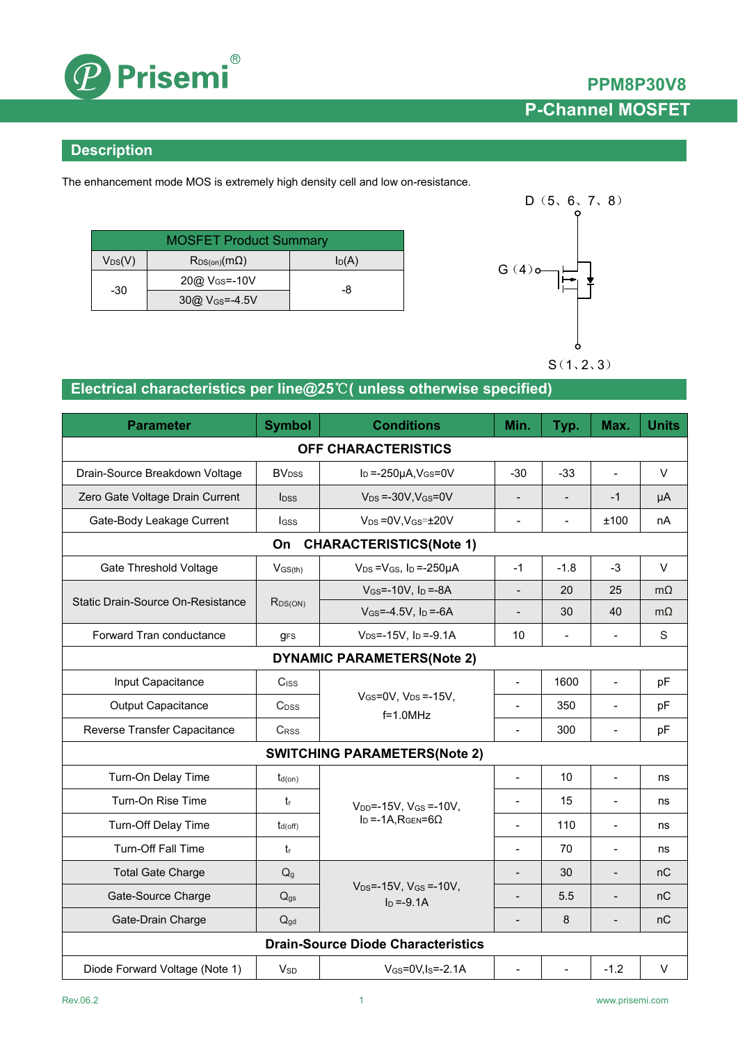

### **Description**

The enhancement mode MOS is extremely high density cell and low on-resistance.

| <b>MOSFET Product Summary</b> |                           |          |  |  |
|-------------------------------|---------------------------|----------|--|--|
| $V_{DS}(V)$                   | $R_{DS(on)}(m\Omega)$     | $I_D(A)$ |  |  |
| -30                           | 20@ V <sub>GS</sub> =-10V | -8       |  |  |
|                               | $30@V_{GS} = -4.5V$       |          |  |  |



## **Electrical characteristics per line@25**℃**( unless otherwise specified)**

| <b>Parameter</b>                          | <b>Symbol</b>            | <b>Conditions</b>                                    | Min.                         | Typ.                     | Max.                     | <b>Units</b> |  |
|-------------------------------------------|--------------------------|------------------------------------------------------|------------------------------|--------------------------|--------------------------|--------------|--|
| OFF CHARACTERISTICS                       |                          |                                                      |                              |                          |                          |              |  |
| Drain-Source Breakdown Voltage            | <b>BV</b> <sub>DSS</sub> | $I_D = -250\mu A$ , $V_{GS} = 0V$                    |                              | $-33$                    | $\overline{a}$           | V            |  |
| Zero Gate Voltage Drain Current           | <b>l</b> <sub>DSS</sub>  | $V_{DS} = -30V$ , $V_{GS} = 0V$                      | $\overline{a}$               | $\overline{\phantom{a}}$ | $-1$                     | μA           |  |
| Gate-Body Leakage Current                 | <b>I</b> GSS             | $V_{DS} = 0V$ , $V_{GS} = \pm 20V$                   | $\overline{\phantom{a}}$     | $\overline{\phantom{0}}$ | ±100                     | nA           |  |
|                                           | On                       | <b>CHARACTERISTICS(Note 1)</b>                       |                              |                          |                          |              |  |
| Gate Threshold Voltage                    | $-1$                     | $-1.8$                                               | $-3$                         | $\vee$                   |                          |              |  |
|                                           |                          | $V$ <sub>GS</sub> =-10V, $I_D$ =-8A                  | $\overline{\phantom{a}}$     | 20                       | 25                       | $m\Omega$    |  |
| Static Drain-Source On-Resistance         | R <sub>DS(ON)</sub>      | $V_{GS} = -4.5V$ , $I_D = -6A$                       | $\overline{a}$               | 30                       | 40                       | $m\Omega$    |  |
| Forward Tran conductance                  | <b>gFS</b>               | $V_{DS} = -15V$ , $I_D = -9.1A$                      | 10                           | $\frac{1}{2}$            | $\overline{a}$           | S            |  |
| <b>DYNAMIC PARAMETERS(Note 2)</b>         |                          |                                                      |                              |                          |                          |              |  |
| Input Capacitance                         | Ciss                     |                                                      | $\overline{\phantom{a}}$     | 1600                     | $\frac{1}{2}$            | pF           |  |
| <b>Output Capacitance</b>                 | C <sub>DSS</sub>         | $V_{GS}=$ 0V, $V_{DS}=$ -15V,<br>$f=1.0$ MHz         | $\blacksquare$               | 350                      | $\blacksquare$           | pF           |  |
| Reverse Transfer Capacitance              | <b>CRSS</b>              |                                                      | $\blacksquare$               | 300                      | $\frac{1}{2}$            | pF           |  |
| <b>SWITCHING PARAMETERS(Note 2)</b>       |                          |                                                      |                              |                          |                          |              |  |
| Turn-On Delay Time                        | $t_{d(on)}$              |                                                      | $\overline{a}$               | 10                       | $\overline{a}$           | ns           |  |
| Turn-On Rise Time                         | tr                       | $V_{DD}$ =-15V, $V_{GS}$ =-10V,                      |                              | 15                       |                          | ns           |  |
| Turn-Off Delay Time                       | $t_{d(off)}$             | $I_D = -1A$ , $R_{GEN} = 6\Omega$                    | $\blacksquare$               | 110                      | $\blacksquare$           | ns           |  |
| <b>Turn-Off Fall Time</b>                 | $t_{r}$                  |                                                      |                              | 70                       |                          | ns           |  |
| <b>Total Gate Charge</b>                  | Q <sub>g</sub>           |                                                      | $\overline{\phantom{a}}$     | 30                       | $\overline{\phantom{a}}$ | nC           |  |
| Gate-Source Charge                        | $Q_{gs}$                 | $V_{DS} = -15V$ , $V_{GS} = -10V$ ,<br>$I_D = -9.1A$ |                              | 5.5                      | $\overline{a}$           | nC           |  |
| Gate-Drain Charge                         | $Q_{gd}$                 |                                                      | $\qquad \qquad \blacksquare$ | 8                        | $\overline{\phantom{0}}$ | nC           |  |
| <b>Drain-Source Diode Characteristics</b> |                          |                                                      |                              |                          |                          |              |  |
| Diode Forward Voltage (Note 1)            | $V_{SD}$                 | $V$ <sub>GS</sub> =0V, I <sub>S</sub> =-2.1A         |                              | $\overline{a}$           | $-1.2$                   | $\mathsf{V}$ |  |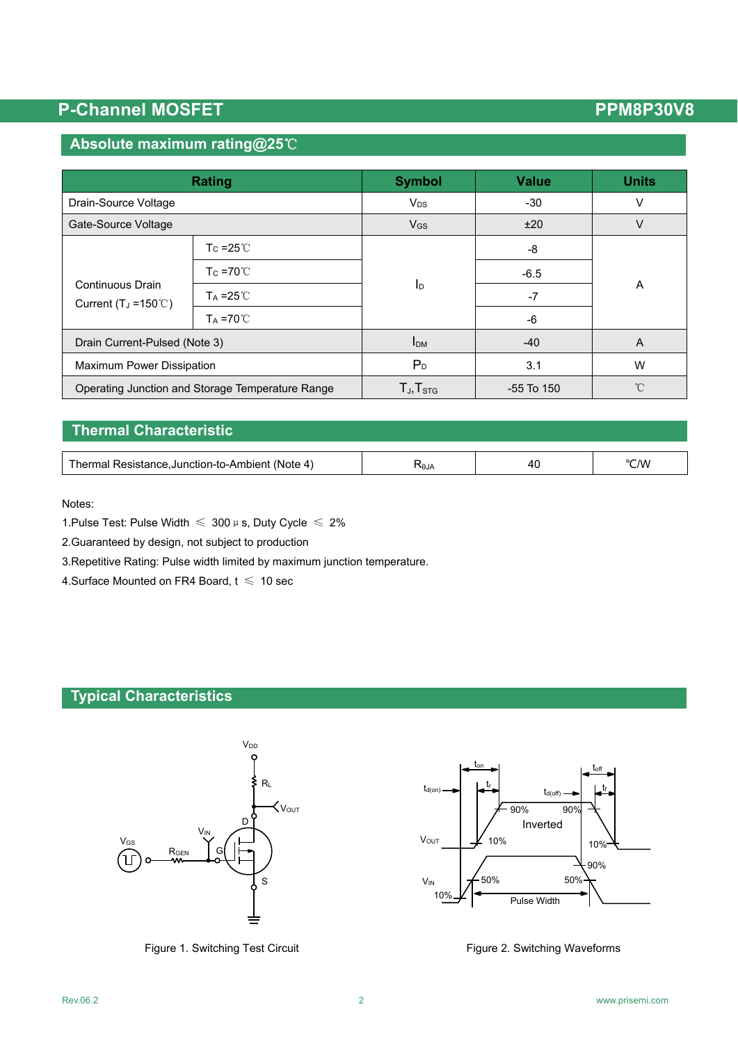### **Absolute maximum rating@25**℃

| <b>Rating</b>                                                  |                               | <b>Symbol</b>             | <b>Value</b>   | <b>Units</b> |  |
|----------------------------------------------------------------|-------------------------------|---------------------------|----------------|--------------|--|
| Drain-Source Voltage                                           |                               | $V_{DS}$                  | $-30$          | V            |  |
| Gate-Source Voltage                                            |                               | <b>V<sub>GS</sub></b>     | ±20            | v            |  |
|                                                                | T <sub>c</sub> = $25^\circ$ C | $\mathsf{I}_{\mathsf{D}}$ | -8             |              |  |
| Continuous Drain<br>Current (T <sub>J</sub> = $150^{\circ}$ C) | $T_c = 70^{\circ}$            |                           | $-6.5$         | A            |  |
|                                                                | $Ta = 25^{\circ}C$            |                           | $-7$           |              |  |
|                                                                | $Ta = 70^{\circ}C$            |                           | -6             |              |  |
| Drain Current-Pulsed (Note 3)                                  |                               | I <sub>DM</sub>           | $-40$          | A            |  |
| <b>Maximum Power Dissipation</b>                               |                               | $P_D$                     | 3.1            | W            |  |
| Operating Junction and Storage Temperature Range               |                               | $T_{J}$ , $T_{STG}$       | $-55$ To $150$ | $^{\circ}$ C |  |

## **Thermal Characteristic**

| $-$<br>(Note<br>. .ction-to-Ambien<br>$\mathbf{\mathbf{\mu}}$<br> | ٦H<br>Alθ | 40<br>$\sim$ | °C/W |
|-------------------------------------------------------------------|-----------|--------------|------|

Notes:

1. Pulse Test: Pulse Width  $\leq 300 \,\mu$  s, Duty Cycle  $\leq 2\%$ 

2.Guaranteed by design, not subject to production

3.Repetitive Rating: Pulse width limited by maximum junction temperature.

4. Surface Mounted on FR4 Board,  $t \leq 10$  sec

### **Typical Characteristics**



Figure 1. Switching Test Circuit Figure 2. Switching Waveforms

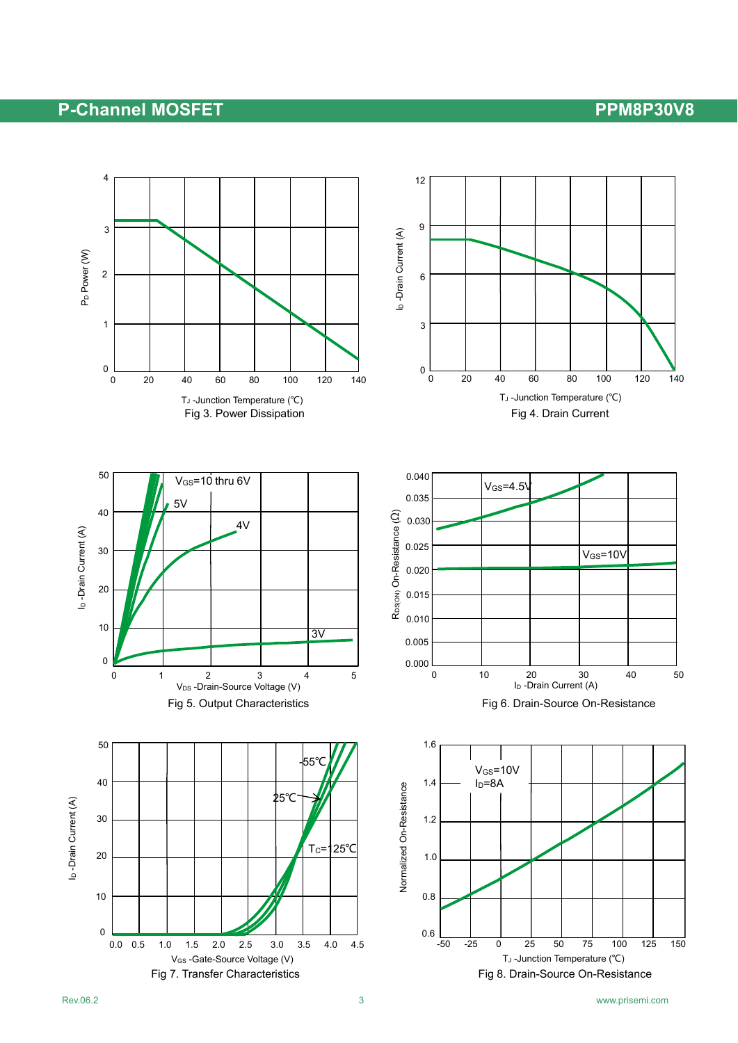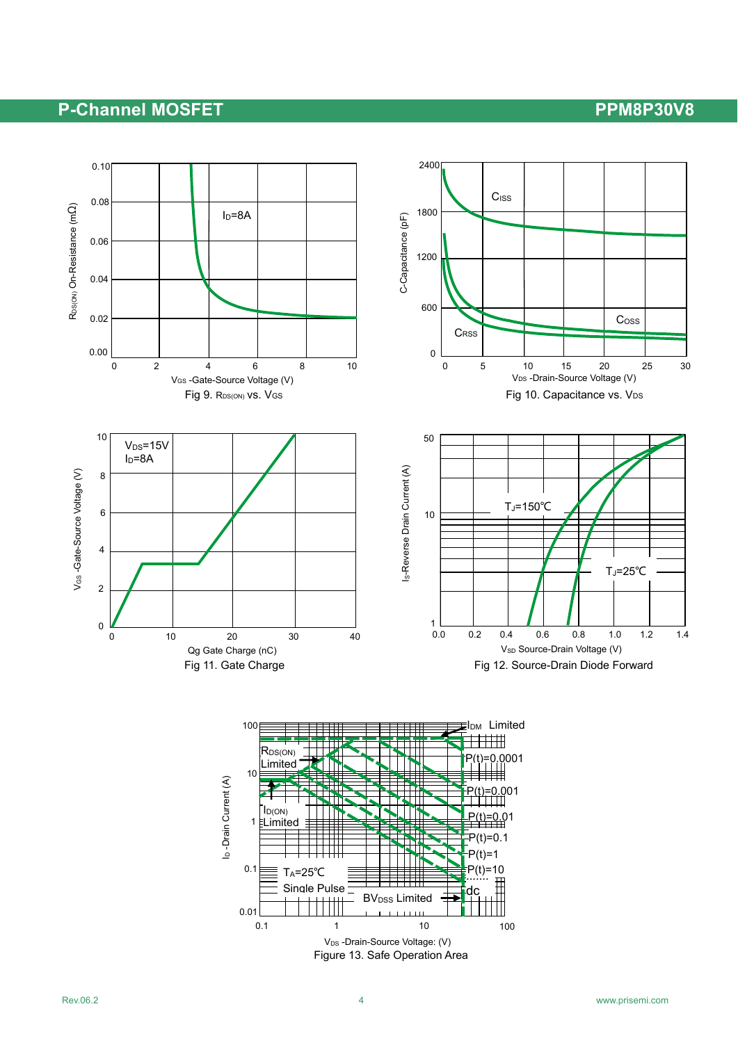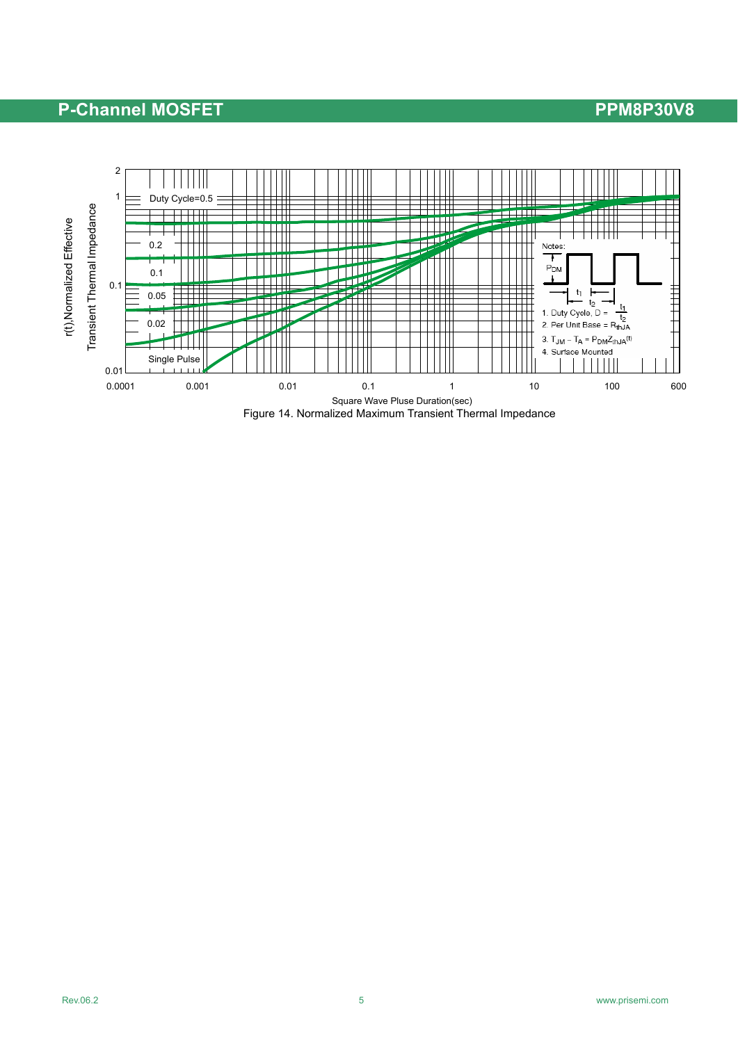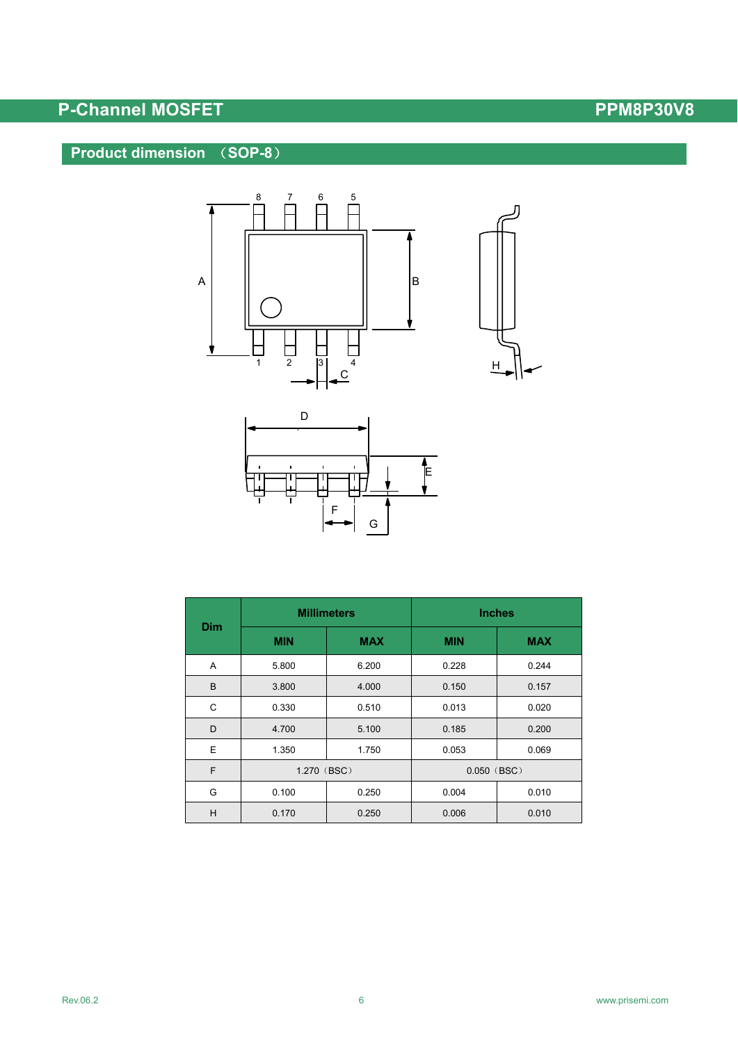## **Product dimension** (**SOP-8**)





| <b>Dim</b> | <b>Millimeters</b> |            | <b>Inches</b> |            |  |
|------------|--------------------|------------|---------------|------------|--|
|            | <b>MIN</b>         | <b>MAX</b> | <b>MIN</b>    | <b>MAX</b> |  |
| A          | 5.800              | 6.200      | 0.228         | 0.244      |  |
| B          | 3.800              | 4.000      | 0.150         | 0.157      |  |
| C          | 0.330              | 0.510      | 0.013         | 0.020      |  |
| D          | 4.700              | 5.100      | 0.185         | 0.200      |  |
| E          | 1.350              | 1.750      | 0.053         | 0.069      |  |
| F          | 1.270 (BSC)        |            | $0.050$ (BSC) |            |  |
| G          | 0.100              | 0.250      | 0.004         | 0.010      |  |
| H          | 0.170              | 0.250      | 0.006         | 0.010      |  |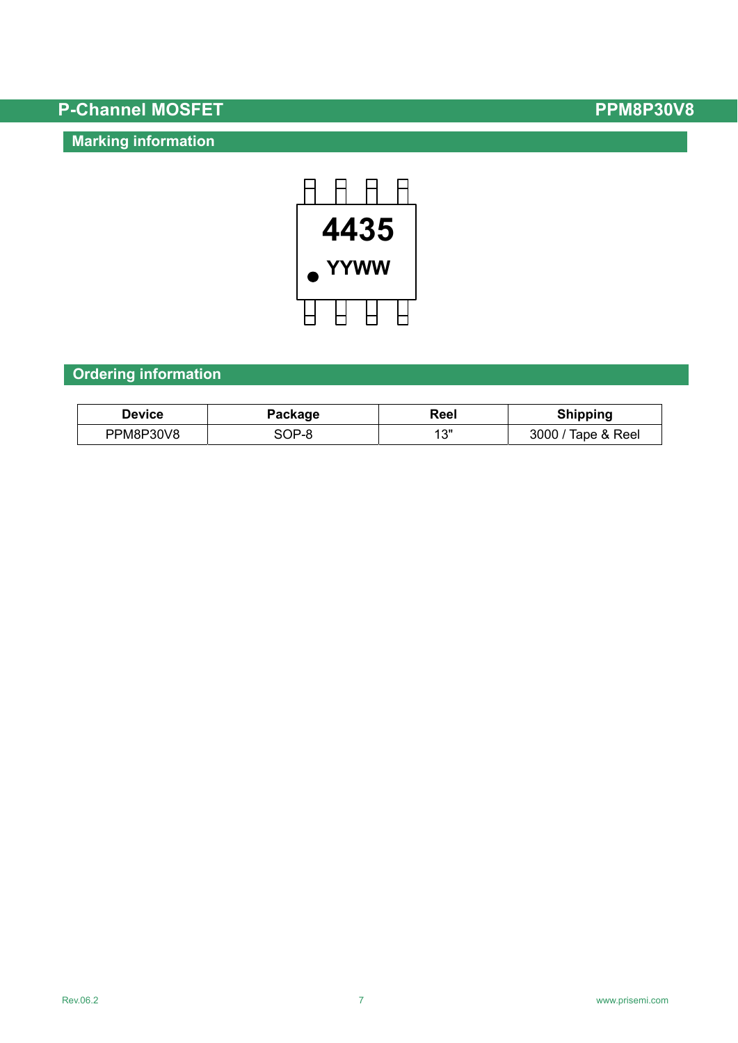## **Marking information**



## **Ordering information**

| <b>Device</b> | Package | Reel   | <b>Shipping</b>    |
|---------------|---------|--------|--------------------|
| PPM8P30V8     | SOP-8   | ィ つ !! | 3000 / Tape & Reel |